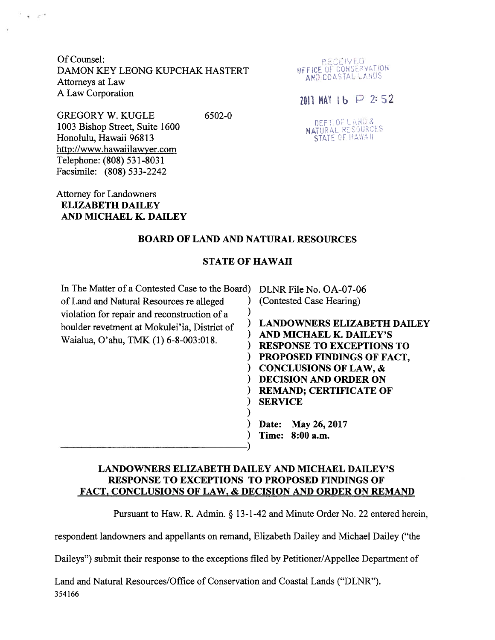Of Counsel: DAMON KEY LEONG KUPCHAK HASTERT **EXAMON CONSERVATION**<br>Attorneys at Law **Attorneys at Law** A Law Corporation  $\overline{a}$  2: 52

GREGORY W. KUGLE 6502-0 1003 Bishop Street, Suite 1600 'Honolulu, Hawaii 96813 http://www.hawaiilawyer.com Telephone: (808) 531-8031 Facsimile: (808) 533-2242

Attorney for Landowners ELIZABETH DAILEY AND MICHAEL K. DAILEY

 $\cdot$  .  $e^{-t}$ 

RECEIVED

DEPTLOF LAND &<br>NATURAL RESOURCES<br>STATE OF HAWAII

## BOARD OF LAND AND NATURAL RESOURCES

### STATE OF HAWAII

In The Matter of a Contested Case to the Board) DLNR File No. OA-07-06 of Land and Natural Resources re alleged ) (Contested Case Hearing) violation for repair and reconstruction of a  $\overrightarrow{a}$   $\overrightarrow{b}$  LANDOWNERS ELIZABETH DAILEY

boulder revetment at Mokulei'ia, District of Chandowners ELIZABETH DAI<br>Waialua, O'ahu, TMK (1) 6-8-003:018. ) RESPONSE TO EXCEPTIONS TO ) PROPOSED FINDINGS OF FACT, ) CONCLUSIONS OF LAW, & ) DECISION AND ORDER ON ) REMAND; CERTIFICATE OF ) SERVICE

> ) Date: May 26,2017 ) Time: 8:00 a.m.

## LANDOWNERS ELIZABETH DAILEY AND MICHAEL DAILEY'S RESPONSE TO EXCEPTIONS TO PROPOSED FINDINGS OF FACT, CONCLUSIONS OF LAW, & DECISION AND ORDER ON REMAND

)

)

Pursuant to Haw. R. Admin. § 13-1-42 and Minute Order No. <sup>22</sup> entered herein,

respondent landowners and appellants on remand, Elizabeth Dailey and Michael Dailey ("the

Daileys") submit their response to the exceptions filed by Petitioner/Appellee Department of

Land and Natural Resources/Office of Conservation and Coastal Lands ("DLNR"). 354166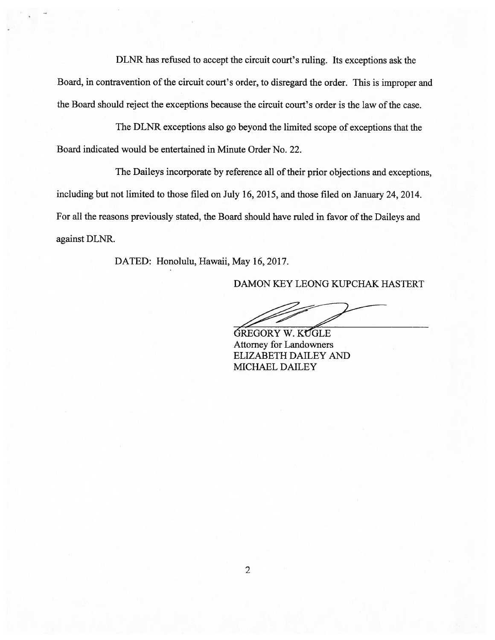DLNR has refused to accep<sup>t</sup> the circuit court's ruling. Its exceptions ask the Board, in contravention of the circuit court's order, to disregard the order. This is improper and the Board should reject the exceptions because the circuit court's order is the law of the case.

The DLNR exceptions also go beyond the limited scope of exceptions that the Board indicated would be entertained in Minute Order No. 22.

The Daileys incorporate by reference all of their prior objections and exceptions, including but not limited to those filed on July 16, 2015, and those filed on January 24, 2014. For all the reasons previously stated, the Board should have ruled in favor of the Daileys and against DLNR.

DATED: Honolulu, Hawaii, May 16, 2017.

DAMON KEY LEONG KUPCHAK HASTERT

GREGORY W. KUGLE Attorney for Landowners ELIZABETH DAILEY AND MICHAEL DAILEY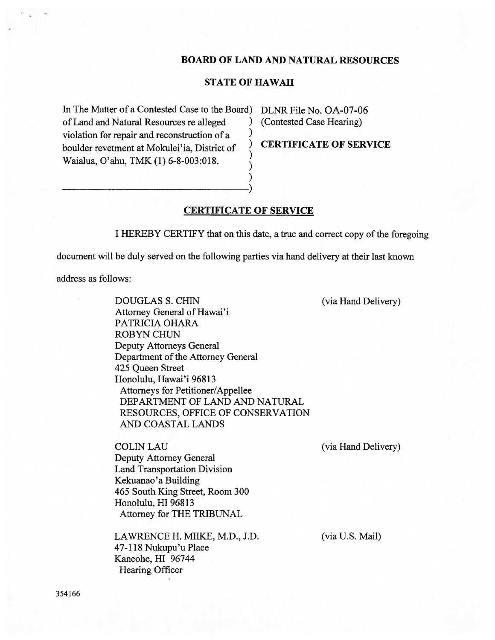#### BOARD OF LAND AND NATURAL RESOURCES

### STATE OF HAWAII

In The Matter of a Contested Case to the Board) DLNR File No. OA-07-06 of Land and Natural Resources re alleged ) (Contested Case Hearing) violation for repair and reconstruction of a  $\frac{1}{2}$ boulder revetment at Mokulei'ia, District of CERTIFICATE OF SERVICE Waialua, O'ahu, TMK (1) 6-8-003:018. )

### CERTIFICATE OF SERVICE

) )

<sup>I</sup> HEREBY CERTIFY that on this date, <sup>a</sup> true and correct copy of the foregoing

document will be duly served on the following parties via hand delivery at their last known

address as follows:

DOUGLAS S. CHIN (via Hand Delivery) Attorney General of Hawai'i PATRICIA OHARA ROBYN CHUN Deputy Attorneys General Department of the Attorney General 425 Queen Street Honolulu, Hawai'i 96813 Attorneys for Petitioner/Appellee DEPARTMENT OF LAND AND NATURAL RESOURCES, OFFICE OF CONSERVATION AND COASTAL LANDS

COLIN LAU (via Hand Delivery) Deputy Attorney General Land Transportation Division Kekuanao 'a Building 465 South King Street, Room 300 Honolulu, HI 96813 Attorney for THE TRIBUNAL

LAWRENCE H. MIIKE, M.D., J.D. (via U.S. Mail) 47-118 Nukupu'u Place Kaneohe, HI 96744 Hearing Officer